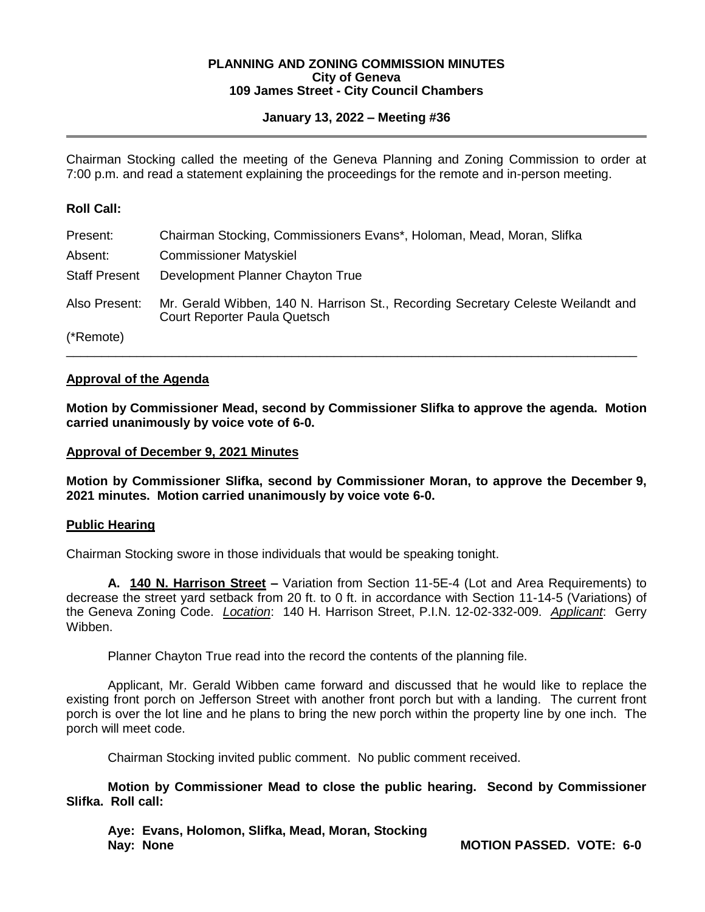### **PLANNING AND ZONING COMMISSION MINUTES City of Geneva 109 James Street - City Council Chambers**

# **January 13, 2022 – Meeting #36**

Chairman Stocking called the meeting of the Geneva Planning and Zoning Commission to order at 7:00 p.m. and read a statement explaining the proceedings for the remote and in-person meeting.

## **Roll Call:**

| Present:             | Chairman Stocking, Commissioners Evans*, Holoman, Mead, Moran, Slifka                                            |
|----------------------|------------------------------------------------------------------------------------------------------------------|
| Absent:              | <b>Commissioner Matyskiel</b>                                                                                    |
| <b>Staff Present</b> | Development Planner Chayton True                                                                                 |
| Also Present:        | Mr. Gerald Wibben, 140 N. Harrison St., Recording Secretary Celeste Weilandt and<br>Court Reporter Paula Quetsch |
| (*Remote)            |                                                                                                                  |

# **Approval of the Agenda**

**Motion by Commissioner Mead, second by Commissioner Slifka to approve the agenda. Motion carried unanimously by voice vote of 6-0.**

## **Approval of December 9, 2021 Minutes**

**Motion by Commissioner Slifka, second by Commissioner Moran, to approve the December 9, 2021 minutes. Motion carried unanimously by voice vote 6-0.** 

## **Public Hearing**

Chairman Stocking swore in those individuals that would be speaking tonight.

**A. 140 N. Harrison Street –** Variation from Section 11-5E-4 (Lot and Area Requirements) to decrease the street yard setback from 20 ft. to 0 ft. in accordance with Section 11-14-5 (Variations) of the Geneva Zoning Code. *Location*: 140 H. Harrison Street, P.I.N. 12-02-332-009. *Applicant*: Gerry Wibben.

Planner Chayton True read into the record the contents of the planning file.

Applicant, Mr. Gerald Wibben came forward and discussed that he would like to replace the existing front porch on Jefferson Street with another front porch but with a landing. The current front porch is over the lot line and he plans to bring the new porch within the property line by one inch. The porch will meet code.

Chairman Stocking invited public comment. No public comment received.

**Motion by Commissioner Mead to close the public hearing. Second by Commissioner Slifka. Roll call:** 

**Aye: Evans, Holomon, Slifka, Mead, Moran, Stocking Nay: None MOTION PASSED. VOTE: 6-0**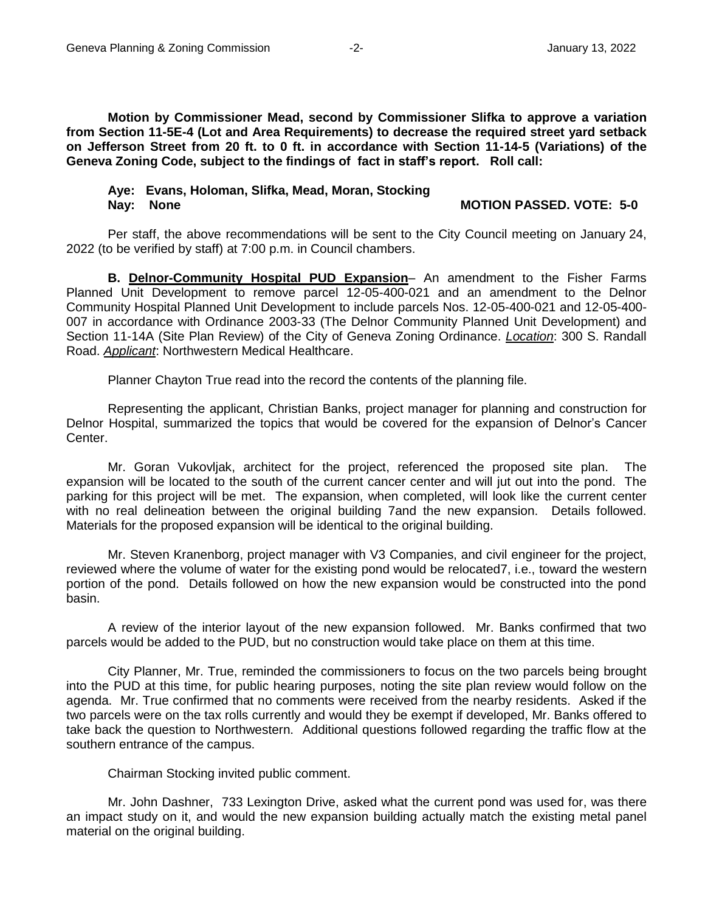**Motion by Commissioner Mead, second by Commissioner Slifka to approve a variation from Section 11-5E-4 (Lot and Area Requirements) to decrease the required street yard setback on Jefferson Street from 20 ft. to 0 ft. in accordance with Section 11-14-5 (Variations) of the Geneva Zoning Code, subject to the findings of fact in staff's report. Roll call:** 

### **Aye: Evans, Holoman, Slifka, Mead, Moran, Stocking Nay: None MOTION PASSED. VOTE: 5-0**

Per staff, the above recommendations will be sent to the City Council meeting on January 24, 2022 (to be verified by staff) at 7:00 p.m. in Council chambers.

**B. Delnor-Community Hospital PUD Expansion**– An amendment to the Fisher Farms Planned Unit Development to remove parcel 12-05-400-021 and an amendment to the Delnor Community Hospital Planned Unit Development to include parcels Nos. 12-05-400-021 and 12-05-400- 007 in accordance with Ordinance 2003-33 (The Delnor Community Planned Unit Development) and Section 11-14A (Site Plan Review) of the City of Geneva Zoning Ordinance. *Location*: 300 S. Randall Road. *Applicant*: Northwestern Medical Healthcare.

Planner Chayton True read into the record the contents of the planning file.

Representing the applicant, Christian Banks, project manager for planning and construction for Delnor Hospital, summarized the topics that would be covered for the expansion of Delnor's Cancer Center.

Mr. Goran Vukovljak, architect for the project, referenced the proposed site plan. The expansion will be located to the south of the current cancer center and will jut out into the pond. The parking for this project will be met. The expansion, when completed, will look like the current center with no real delineation between the original building 7and the new expansion. Details followed. Materials for the proposed expansion will be identical to the original building.

Mr. Steven Kranenborg, project manager with V3 Companies, and civil engineer for the project, reviewed where the volume of water for the existing pond would be relocated7, i.e., toward the western portion of the pond. Details followed on how the new expansion would be constructed into the pond basin.

A review of the interior layout of the new expansion followed. Mr. Banks confirmed that two parcels would be added to the PUD, but no construction would take place on them at this time.

City Planner, Mr. True, reminded the commissioners to focus on the two parcels being brought into the PUD at this time, for public hearing purposes, noting the site plan review would follow on the agenda. Mr. True confirmed that no comments were received from the nearby residents. Asked if the two parcels were on the tax rolls currently and would they be exempt if developed, Mr. Banks offered to take back the question to Northwestern. Additional questions followed regarding the traffic flow at the southern entrance of the campus.

## Chairman Stocking invited public comment.

Mr. John Dashner, 733 Lexington Drive, asked what the current pond was used for, was there an impact study on it, and would the new expansion building actually match the existing metal panel material on the original building.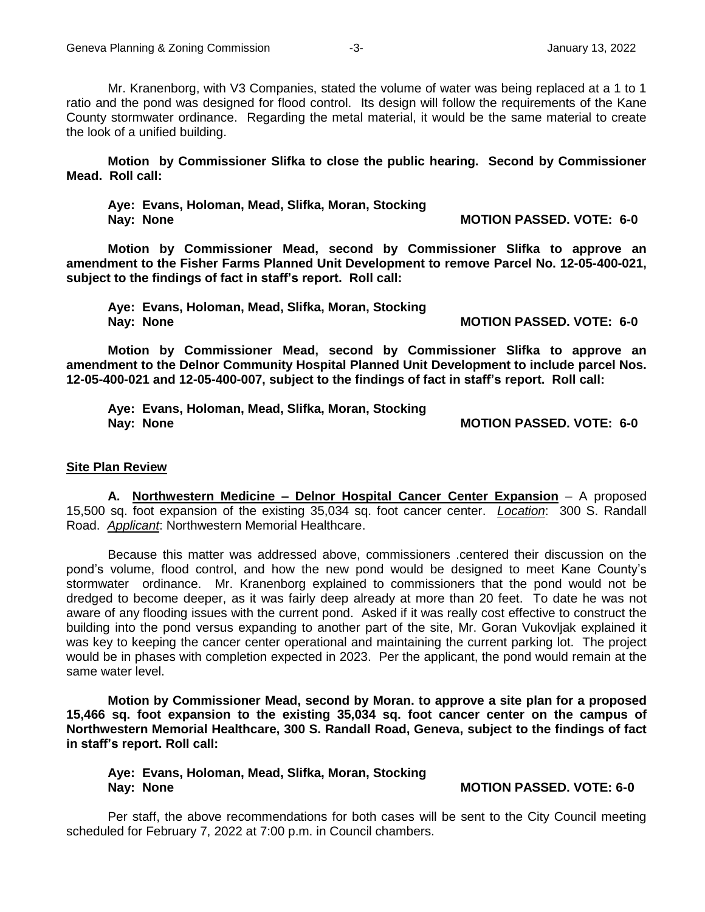Mr. Kranenborg, with V3 Companies, stated the volume of water was being replaced at a 1 to 1 ratio and the pond was designed for flood control. Its design will follow the requirements of the Kane County stormwater ordinance. Regarding the metal material, it would be the same material to create the look of a unified building.

**Motion by Commissioner Slifka to close the public hearing. Second by Commissioner Mead. Roll call:** 

**Aye: Evans, Holoman, Mead, Slifka, Moran, Stocking Nay: None MOTION PASSED. VOTE: 6-0** 

**Motion by Commissioner Mead, second by Commissioner Slifka to approve an amendment to the Fisher Farms Planned Unit Development to remove Parcel No. 12-05-400-021, subject to the findings of fact in staff's report. Roll call:** 

**Aye: Evans, Holoman, Mead, Slifka, Moran, Stocking Nay: None MOTION PASSED. VOTE: 6-0** 

**Motion by Commissioner Mead, second by Commissioner Slifka to approve an amendment to the Delnor Community Hospital Planned Unit Development to include parcel Nos. 12-05-400-021 and 12-05-400-007, subject to the findings of fact in staff's report. Roll call:**

**Aye: Evans, Holoman, Mead, Slifka, Moran, Stocking Nay: None MOTION PASSED. VOTE: 6-0**

### **Site Plan Review**

**A. Northwestern Medicine – Delnor Hospital Cancer Center Expansion** – A proposed 15,500 sq. foot expansion of the existing 35,034 sq. foot cancer center. *Location*: 300 S. Randall Road. *Applicant*: Northwestern Memorial Healthcare.

Because this matter was addressed above, commissioners .centered their discussion on the pond's volume, flood control, and how the new pond would be designed to meet Kane County's stormwater ordinance. Mr. Kranenborg explained to commissioners that the pond would not be dredged to become deeper, as it was fairly deep already at more than 20 feet. To date he was not aware of any flooding issues with the current pond. Asked if it was really cost effective to construct the building into the pond versus expanding to another part of the site, Mr. Goran Vukovljak explained it was key to keeping the cancer center operational and maintaining the current parking lot. The project would be in phases with completion expected in 2023. Per the applicant, the pond would remain at the same water level.

**Motion by Commissioner Mead, second by Moran. to approve a site plan for a proposed 15,466 sq. foot expansion to the existing 35,034 sq. foot cancer center on the campus of Northwestern Memorial Healthcare, 300 S. Randall Road, Geneva, subject to the findings of fact in staff's report. Roll call:** 

**Aye: Evans, Holoman, Mead, Slifka, Moran, Stocking Nay: None MOTION PASSED. VOTE: 6-0** 

Per staff, the above recommendations for both cases will be sent to the City Council meeting scheduled for February 7, 2022 at 7:00 p.m. in Council chambers.